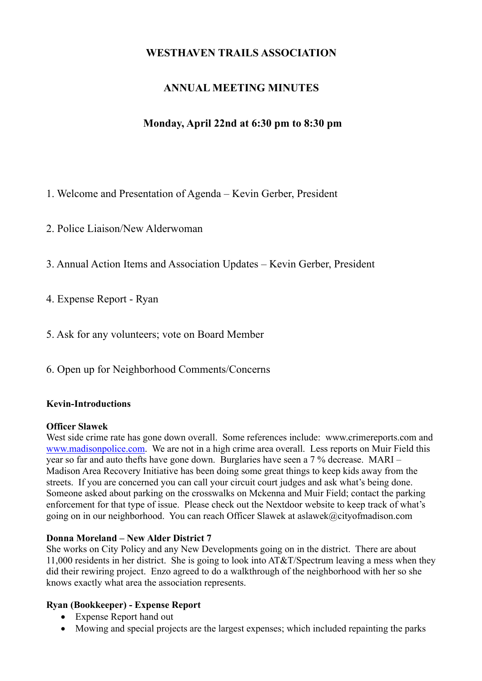# **WESTHAVEN TRAILS ASSOCIATION**

# **ANNUAL MEETING MINUTES**

# **Monday, April 22nd at 6:30 pm to 8:30 pm**

1. Welcome and Presentation of Agenda – Kevin Gerber, President

2. Police Liaison/New Alderwoman

3. Annual Action Items and Association Updates – Kevin Gerber, President

4. Expense Report - Ryan

5. Ask for any volunteers; vote on Board Member

6. Open up for Neighborhood Comments/Concerns

### **Kevin-Introductions**

#### **Officer Slawek**

West side crime rate has gone down overall. Some references include: www.crimereports.com and www.madisonpolice.com. We are not in a high crime area overall. Less reports on Muir Field this year so far and auto thefts have gone down. Burglaries have seen a 7 % decrease. MARI – Madison Area Recovery Initiative has been doing some great things to keep kids away from the streets. If you are concerned you can call your circuit court judges and ask what's being done. Someone asked about parking on the crosswalks on Mckenna and Muir Field; contact the parking enforcement for that type of issue. Please check out the Nextdoor website to keep track of what's going on in our neighborhood. You can reach Officer Slawek at aslawek@cityofmadison.com

### **Donna Moreland – New Alder District 7**

She works on City Policy and any New Developments going on in the district. There are about 11,000 residents in her district. She is going to look into AT&T/Spectrum leaving a mess when they did their rewiring project. Enzo agreed to do a walkthrough of the neighborhood with her so she knows exactly what area the association represents.

### **Ryan (Bookkeeper) - Expense Report**

- Expense Report hand out
- Mowing and special projects are the largest expenses; which included repainting the parks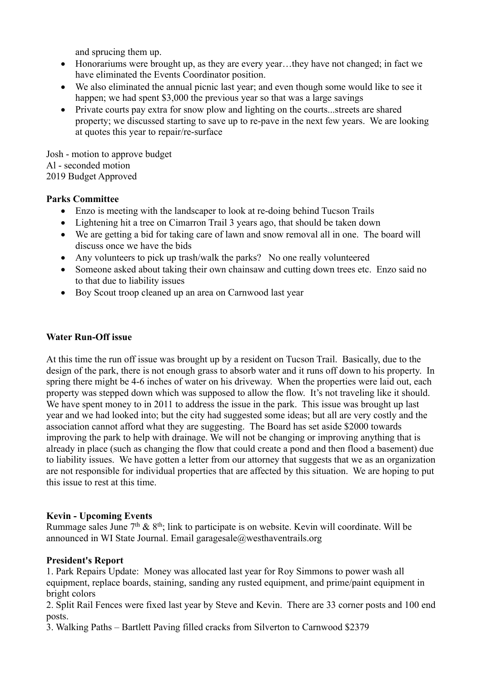and sprucing them up.

- Honorariums were brought up, as they are every year...they have not changed; in fact we have eliminated the Events Coordinator position.
- We also eliminated the annual picnic last year; and even though some would like to see it happen; we had spent \$3,000 the previous year so that was a large savings
- Private courts pay extra for snow plow and lighting on the courts...streets are shared property; we discussed starting to save up to re-pave in the next few years. We are looking at quotes this year to repair/re-surface

Josh - motion to approve budget Al - seconded motion 2019 Budget Approved

### **Parks Committee**

- Enzo is meeting with the landscaper to look at re-doing behind Tucson Trails
- Lightening hit a tree on Cimarron Trail 3 years ago, that should be taken down
- We are getting a bid for taking care of lawn and snow removal all in one. The board will discuss once we have the bids
- Any volunteers to pick up trash/walk the parks? No one really volunteered
- Someone asked about taking their own chainsaw and cutting down trees etc. Enzo said no to that due to liability issues
- Boy Scout troop cleaned up an area on Carnwood last year

## **Water Run-Off issue**

At this time the run off issue was brought up by a resident on Tucson Trail. Basically, due to the design of the park, there is not enough grass to absorb water and it runs off down to his property. In spring there might be 4-6 inches of water on his driveway. When the properties were laid out, each property was stepped down which was supposed to allow the flow. It's not traveling like it should. We have spent money to in 2011 to address the issue in the park. This issue was brought up last year and we had looked into; but the city had suggested some ideas; but all are very costly and the association cannot afford what they are suggesting. The Board has set aside \$2000 towards improving the park to help with drainage. We will not be changing or improving anything that is already in place (such as changing the flow that could create a pond and then flood a basement) due to liability issues. We have gotten a letter from our attorney that suggests that we as an organization are not responsible for individual properties that are affected by this situation. We are hoping to put this issue to rest at this time.

### **Kevin - Upcoming Events**

Rummage sales June  $7<sup>th</sup>$  &  $8<sup>th</sup>$ ; link to participate is on website. Kevin will coordinate. Will be announced in WI State Journal. Email garagesale@westhaventrails.org

### **President's Report**

1. Park Repairs Update: Money was allocated last year for Roy Simmons to power wash all equipment, replace boards, staining, sanding any rusted equipment, and prime/paint equipment in bright colors

2. Split Rail Fences were fixed last year by Steve and Kevin. There are 33 corner posts and 100 end posts.

3. Walking Paths – Bartlett Paving filled cracks from Silverton to Carnwood \$2379